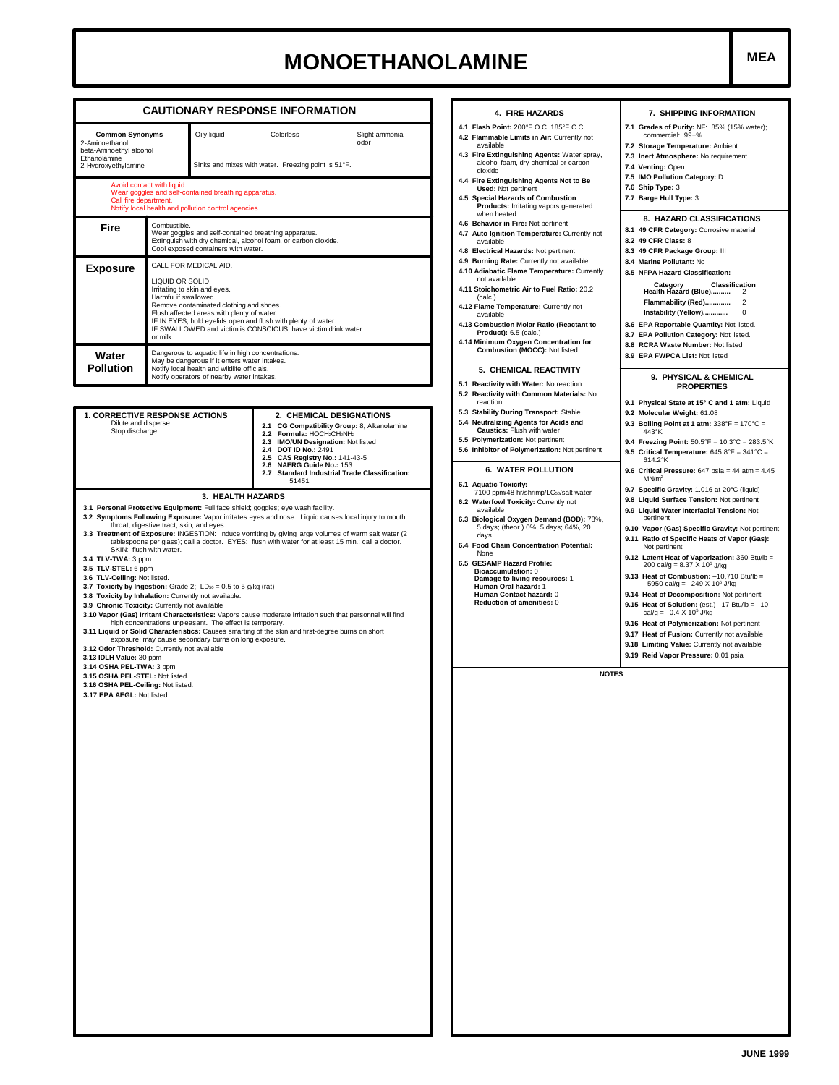## **MONOETHANOLAMINE**

| 2-Aminoethanol                                                                                                                                                                                                                                                                                                                                                   | <b>Common Synonyms</b>                                                                                                                                                                                                                                                                                                                   | Oily liquid                                                                                                       | Colorless<br>Slight ammonia<br>odor                                                                                                                                                                                                                                                                                                                                                                                                                                                                                                                                                                                     |                                                                        |  |  |
|------------------------------------------------------------------------------------------------------------------------------------------------------------------------------------------------------------------------------------------------------------------------------------------------------------------------------------------------------------------|------------------------------------------------------------------------------------------------------------------------------------------------------------------------------------------------------------------------------------------------------------------------------------------------------------------------------------------|-------------------------------------------------------------------------------------------------------------------|-------------------------------------------------------------------------------------------------------------------------------------------------------------------------------------------------------------------------------------------------------------------------------------------------------------------------------------------------------------------------------------------------------------------------------------------------------------------------------------------------------------------------------------------------------------------------------------------------------------------------|------------------------------------------------------------------------|--|--|
| beta-Aminoethyl alcohol<br>Ethanolamine<br>2-Hydroxyethylamine                                                                                                                                                                                                                                                                                                   |                                                                                                                                                                                                                                                                                                                                          |                                                                                                                   | Sinks and mixes with water. Freezing point is 51°F.                                                                                                                                                                                                                                                                                                                                                                                                                                                                                                                                                                     |                                                                        |  |  |
| Call fire department.                                                                                                                                                                                                                                                                                                                                            | Avoid contact with liquid.                                                                                                                                                                                                                                                                                                               | Wear goggles and self-contained breathing apparatus.<br>Notify local health and pollution control agencies.       |                                                                                                                                                                                                                                                                                                                                                                                                                                                                                                                                                                                                                         | 4.4 Fire Ex<br>4.5 Specia                                              |  |  |
| Fire                                                                                                                                                                                                                                                                                                                                                             | Combustible.<br>Wear goggles and self-contained breathing apparatus.<br>Extinguish with dry chemical, alcohol foam, or carbon dioxide.<br>Cool exposed containers with water.                                                                                                                                                            |                                                                                                                   |                                                                                                                                                                                                                                                                                                                                                                                                                                                                                                                                                                                                                         |                                                                        |  |  |
| <b>Exposure</b>                                                                                                                                                                                                                                                                                                                                                  | CALL FOR MEDICAL AID.<br>LIQUID OR SOLID<br>Irritating to skin and eyes.<br>Harmful if swallowed.<br>Remove contaminated clothing and shoes.<br>Flush affected areas with plenty of water.<br>IF IN EYES, hold eyelids open and flush with plenty of water.<br>IF SWALLOWED and victim is CONSCIOUS, have victim drink water<br>or milk. |                                                                                                                   |                                                                                                                                                                                                                                                                                                                                                                                                                                                                                                                                                                                                                         |                                                                        |  |  |
| Water<br><b>Pollution</b>                                                                                                                                                                                                                                                                                                                                        | Dangerous to aquatic life in high concentrations.<br>May be dangerous if it enters water intakes.<br>Notify local health and wildlife officials.<br>Notify operators of nearby water intakes.                                                                                                                                            |                                                                                                                   |                                                                                                                                                                                                                                                                                                                                                                                                                                                                                                                                                                                                                         |                                                                        |  |  |
|                                                                                                                                                                                                                                                                                                                                                                  |                                                                                                                                                                                                                                                                                                                                          |                                                                                                                   |                                                                                                                                                                                                                                                                                                                                                                                                                                                                                                                                                                                                                         | 5.1 Reactiv<br>5.2 Reactiv                                             |  |  |
| <b>1. CORRECTIVE RESPONSE ACTIONS</b><br>Dilute and disperse<br>Stop discharge                                                                                                                                                                                                                                                                                   |                                                                                                                                                                                                                                                                                                                                          |                                                                                                                   | 2. CHEMICAL DESIGNATIONS<br>2.1 CG Compatibility Group: 8; Alkanolamine<br>2.2 Formula: HOCH2CH2NH2<br>2.3 IMO/UN Designation: Not listed<br>2.4 DOT ID No.: 2491<br>2.5 CAS Registry No.: 141-43-5<br>2.6 NAERG Guide No.: 153<br><b>Standard Industrial Trade Classification:</b><br>2.7<br>51451                                                                                                                                                                                                                                                                                                                     | 5.3 Stabilit<br>5.4 Neutra<br>5.5 Polyme<br>5.6 Inhibito<br>6.1 Aquati |  |  |
| 3.4 TLV-TWA: 3 ppm<br>3.5 TLV-STEL: 6 ppm<br>3.6 TLV-Ceiling: Not listed.<br>3.7 Toxicity by Ingestion: Grade 2; $LD_{50} = 0.5$ to 5 g/kg (rat)<br>3.8 Toxicity by Inhalation: Currently not available.<br>3.9 Chronic Toxicity: Currently not available<br>3.12 Odor Threshold: Currently not available<br>3.13 IDLH Value: 30 ppm<br>3.14 OSHA PEL-TWA: 3 ppm | throat, digestive tract, skin, and eyes.<br>SKIN: flush with water.                                                                                                                                                                                                                                                                      | high concentrations unpleasant. The effect is temporary.<br>exposure; may cause secondary burns on long exposure. | 3.1 Personal Protective Equipment: Full face shield; goggles; eye wash facility.<br>3.2 Symptoms Following Exposure: Vapor irritates eyes and nose. Liquid causes local injury to mouth,<br>3.3 Treatment of Exposure: INGESTION: induce vomiting by giving large volumes of warm salt water (2<br>tablespoons per glass); call a doctor. EYES: flush with water for at least 15 min.; call a doctor.<br>3.10 Vapor (Gas) Irritant Characteristics: Vapors cause moderate irritation such that personnel will find<br>3.11 Liquid or Solid Characteristics: Causes smarting of the skin and first-degree burns on short | 6.2 Waterf<br>6.3 Biolog<br>6.4 Food C<br>6.5 GESAM                    |  |  |
| 3.15 OSHA PEL-STEL: Not listed.<br>3.16 OSHA PEL-Ceiling: Not listed.<br>3.17 EPA AEGL: Not listed                                                                                                                                                                                                                                                               |                                                                                                                                                                                                                                                                                                                                          |                                                                                                                   |                                                                                                                                                                                                                                                                                                                                                                                                                                                                                                                                                                                                                         |                                                                        |  |  |
|                                                                                                                                                                                                                                                                                                                                                                  |                                                                                                                                                                                                                                                                                                                                          |                                                                                                                   |                                                                                                                                                                                                                                                                                                                                                                                                                                                                                                                                                                                                                         |                                                                        |  |  |

| 4. FIRE HAZARDS                                                                          | 7. SHIPPING INFORMATION                                                                          |
|------------------------------------------------------------------------------------------|--------------------------------------------------------------------------------------------------|
| 4.1 Flash Point: 200°F O.C. 185°F C.C.<br>4.2 Flammable Limits in Air: Currently not     | 7.1 Grades of Purity: NF: 85% (15% water);<br>commercial: 99+%                                   |
| available<br>4.3 Fire Extinguishing Agents: Water spray,                                 | 7.2 Storage Temperature: Ambient<br>7.3 Inert Atmosphere: No requirement                         |
| alcohol foam, dry chemical or carbon<br>dioxide                                          | 7.4 Venting: Open                                                                                |
| 4.4 Fire Extinguishing Agents Not to Be<br><b>Used: Not pertinent</b>                    | 7.5 IMO Pollution Category: D<br>7.6 Ship Type: 3                                                |
| 4.5 Special Hazards of Combustion<br>Products: Irritating vapors generated               | 7.7 Barge Hull Type: 3                                                                           |
| when heated.<br>4.6 Behavior in Fire: Not pertinent                                      | 8. HAZARD CLASSIFICATIONS                                                                        |
| 4.7 Auto Ignition Temperature: Currently not<br>available                                | 8.1 49 CFR Category: Corrosive material<br>8.2 49 CFR Class: 8                                   |
| 4.8 Electrical Hazards: Not pertinent                                                    | 8.3 49 CFR Package Group: III                                                                    |
| 4.9 Burning Rate: Currently not available<br>4.10 Adiabatic Flame Temperature: Currently | 8.4 Marine Pollutant: No<br>8.5 NFPA Hazard Classification:                                      |
| not available<br>4.11 Stoichometric Air to Fuel Ratio: 20.2                              | Classification<br>Category                                                                       |
| (calc.)                                                                                  | Health Hazard (Blue)<br>$\overline{2}$<br>Flammability (Red)<br>$\overline{2}$                   |
| 4.12 Flame Temperature: Currently not<br>available                                       | Instability (Yellow)<br>0                                                                        |
| 4.13 Combustion Molar Ratio (Reactant to<br><b>Product):</b> 6.5 (calc.)                 | 8.6 EPA Reportable Quantity: Not listed.<br>8.7 EPA Pollution Category: Not listed.              |
| 4.14 Minimum Oxygen Concentration for<br>Combustion (MOCC): Not listed                   | 8.8 RCRA Waste Number: Not listed                                                                |
|                                                                                          | 8.9 EPA FWPCA List: Not listed                                                                   |
| 5. CHEMICAL REACTIVITY                                                                   | 9. PHYSICAL & CHEMICAL                                                                           |
| 5.1 Reactivity with Water: No reaction<br>5.2 Reactivity with Common Materials: No       | <b>PROPERTIES</b>                                                                                |
| reaction<br>5.3 Stability During Transport: Stable                                       | 9.1 Physical State at 15° C and 1 atm: Liquid<br>9.2 Molecular Weight: 61.08                     |
| 5.4 Neutralizing Agents for Acids and<br>Caustics: Flush with water                      | 9.3 Boiling Point at 1 atm: $338^\circ$ F = $170^\circ$ C =                                      |
| 5.5 Polymerization: Not pertinent                                                        | 443°K<br>9.4 Freezing Point: $50.5^{\circ}F = 10.3^{\circ}C = 283.5^{\circ}K$                    |
| 5.6 Inhibitor of Polymerization: Not pertinent                                           | 9.5 Critical Temperature: $645.8^{\circ}F = 341^{\circ}C =$<br>614.2°K                           |
| <b>6. WATER POLLUTION</b>                                                                | 9.6 Critical Pressure: $647$ psia = $44$ atm = $4.45$<br>MN/m <sup>2</sup>                       |
| 6.1 Aquatic Toxicity:<br>7100 ppm/48 hr/shrimp/LCso/salt water                           | 9.7 Specific Gravity: 1.016 at 20°C (liquid)                                                     |
| 6.2 Waterfowl Toxicity: Currently not<br>available                                       | 9.8 Liquid Surface Tension: Not pertinent<br>9.9 Liquid Water Interfacial Tension: Not           |
| 6.3 Biological Oxygen Demand (BOD): 78%,<br>5 days; (theor.) 0%, 5 days; 64%, 20         | pertinent                                                                                        |
| davs<br>6.4 Food Chain Concentration Potential:                                          | 9.10 Vapor (Gas) Specific Gravity: Not pertinent<br>9.11 Ratio of Specific Heats of Vapor (Gas): |
| None                                                                                     | Not pertinent<br>9.12 Latent Heat of Vaporization: 360 Btu/lb =                                  |
| 6.5 GESAMP Hazard Profile:<br><b>Bioaccumulation: 0</b>                                  | 200 cal/g = $8.37 \times 10^5$ J/kg<br>9.13 Heat of Combustion: -10,710 Btu/lb =                 |
| Damage to living resources: 1<br>Human Oral hazard: 1                                    | $-5950$ cal/g = $-249$ X 10 <sup>5</sup> J/kg                                                    |
| Human Contact hazard: 0<br>Reduction of amenities: 0                                     | 9.14 Heat of Decomposition: Not pertinent<br>9.15 Heat of Solution: (est.) $-17$ Btu/lb = $-10$  |
|                                                                                          | cal/g = $-0.4 \times 10^5$ J/kg                                                                  |
|                                                                                          | 9.16 Heat of Polymerization: Not pertinent<br>9.17 Heat of Fusion: Currently not available       |
|                                                                                          | 9.18 Limiting Value: Currently not available                                                     |
|                                                                                          | 9.19 Reid Vapor Pressure: 0.01 psia                                                              |
| <b>NOTES</b>                                                                             |                                                                                                  |
|                                                                                          |                                                                                                  |
|                                                                                          |                                                                                                  |
|                                                                                          |                                                                                                  |
|                                                                                          |                                                                                                  |
|                                                                                          |                                                                                                  |
|                                                                                          |                                                                                                  |
|                                                                                          |                                                                                                  |
|                                                                                          |                                                                                                  |
|                                                                                          |                                                                                                  |
|                                                                                          |                                                                                                  |
|                                                                                          |                                                                                                  |
|                                                                                          |                                                                                                  |
|                                                                                          |                                                                                                  |
|                                                                                          |                                                                                                  |
|                                                                                          |                                                                                                  |